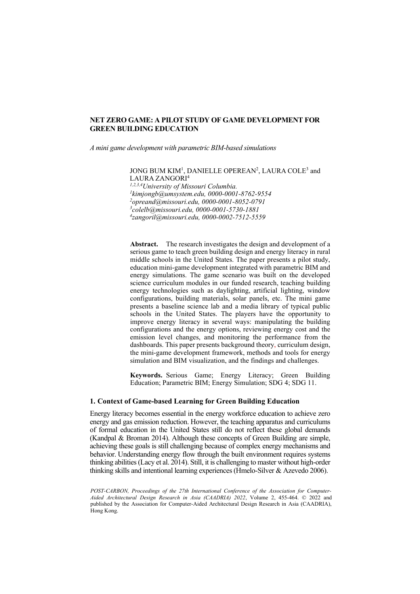*A mini game development with parametric BIM-based simulations*

 $\rm JONG$  BUM KIM<sup>1</sup>, DANIELLE OPEREAN<sup>2</sup>, LAURA COLE<sup>3</sup> and LAURA ZANGORI4

*1,2,3,4University of Missouri Columbia. 1 [kimjongb@umsystem.edu,](mailto:1kkwongcalvin123@gmail.com) 0000-0001-8762-9554 2 opreand@missouri.edu, 0000-0001-8052-0791 3 [colelb@missouri.edu,](mailto:3colelb@missouri.edu) 0000-0001-5730-1881 4 [zangoril@missouri.edu,](mailto:4zangoril@missouri.edu) 0000-0002-7512-5559*

**Abstract.** The research investigates the design and development of a serious game to teach green building design and energy literacy in rural middle schools in the United States. The paper presents a pilot study, education mini-game development integrated with parametric BIM and energy simulations. The game scenario was built on the developed science curriculum modules in our funded research, teaching building energy technologies such as daylighting, artificial lighting, window configurations, building materials, solar panels, etc. The mini game presents a baseline science lab and a media library of typical public schools in the United States. The players have the opportunity to improve energy literacy in several ways: manipulating the building configurations and the energy options, reviewing energy cost and the emission level changes, and monitoring the performance from the dashboards. This paper presents background theory, curriculum design, the mini-game development framework, methods and tools for energy simulation and BIM visualization, and the findings and challenges.

**Keywords.** Serious Game; Energy Literacy; Green Building Education; Parametric BIM; Energy Simulation; SDG 4; SDG 11.

## **1. Context of Game-based Learning for Green Building Education**

Energy literacy becomes essential in the energy workforce education to achieve zero energy and gas emission reduction. However, the teaching apparatus and curriculums of formal education in the United States still do not reflect these global demands (Kandpal & Broman 2014). Although these concepts of Green Building are simple, achieving these goals is still challenging because of complex energy mechanisms and behavior. Understanding energy flow through the built environment requires systems thinking abilities (Lacy et al. 2014). Still, it is challenging to master without high-order thinking skills and intentional learning experiences (Hmelo-Silver & Azevedo 2006).

*POST-CARBON, Proceedings of the 27th International Conference of the Association for Computer-Aided Architectural Design Research in Asia (CAADRIA) 2022*, Volume 2, 455-464. © 2022 and published by the Association for Computer-Aided Architectural Design Research in Asia (CAADRIA), Hong Kong.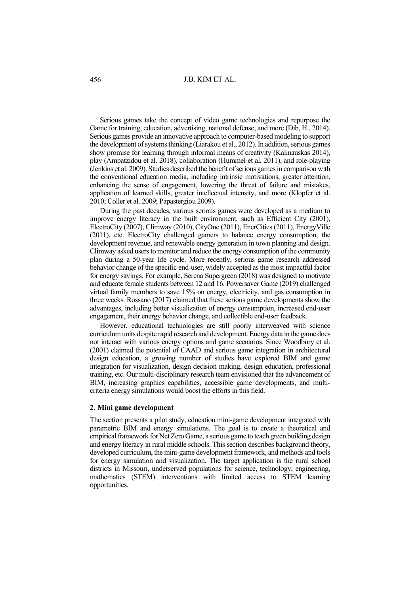Serious games take the concept of video game technologies and repurpose the Game for training, education, advertising, national defense, and more (Dib, H., 2014). Serious games provide an innovative approach to computer-based modeling to support the development of systems thinking (Liarakou et al., 2012). In addition, serious games show promise for learning through informal means of creativity (Kalinauskas 2014), play (Ampatzidou et al. 2018), collaboration (Hummel et al. 2011), and role-playing (Jenkins et al. 2009). Studies described the benefit of serious games in comparison with the conventional education media, including intrinsic motivations, greater attention, enhancing the sense of engagement, lowering the threat of failure and mistakes, application of learned skills, greater intellectual intensity, and more (Klopfer et al. 2010; Coller et al. 2009; Papastergiou 2009).

During the past decades, various serious games were developed as a medium to improve energy literacy in the built environment, such as Efficient City (2001), ElectroCity (2007), Climway (2010), CityOne (2011), EnerCities (2011), EnergyVille (2011), etc. ElectroCity challenged gamers to balance energy consumption, the development revenue, and renewable energy generation in town planning and design. Climway asked users to monitor and reduce the energy consumption of the community plan during a 50-year life cycle. More recently, serious game research addressed behavior change of the specific end-user, widely accepted as the most impactful factor for energy savings. For example, Serena Supergreen (2018) was designed to motivate and educate female students between 12 and 16. Powersaver Game (2019) challenged virtual family members to save 15% on energy, electricity, and gas consumption in three weeks. Rossano (2017) claimed that these serious game developments show the advantages, including better visualization of energy consumption, increased end-user engagement, their energy behavior change, and collectible end-user feedback.

However, educational technologies are still poorly interweaved with science curriculum units despite rapid research and development. Energy data in the game does not interact with various energy options and game scenarios. Since Woodbury et al. (2001) claimed the potential of CAAD and serious game integration in architectural design education, a growing number of studies have explored BIM and game integration for visualization, design decision making, design education, professional training, etc. Our multi-disciplinary research team envisioned that the advancement of BIM, increasing graphics capabilities, accessible game developments, and multicriteria energy simulations would boost the efforts in this field.

#### **2. Mini game development**

The section presents a pilot study, education mini-game development integrated with parametric BIM and energy simulations. The goal is to create a theoretical and empirical framework for Net Zero Game, a serious game to teach green building design and energy literacy in rural middle schools. This section describes background theory, developed curriculum, the mini-game development framework, and methods and tools for energy simulation and visualization. The target application is the rural school districts in Missouri, underserved populations for science, technology, engineering, mathematics (STEM) interventions with limited access to STEM learning opportunities.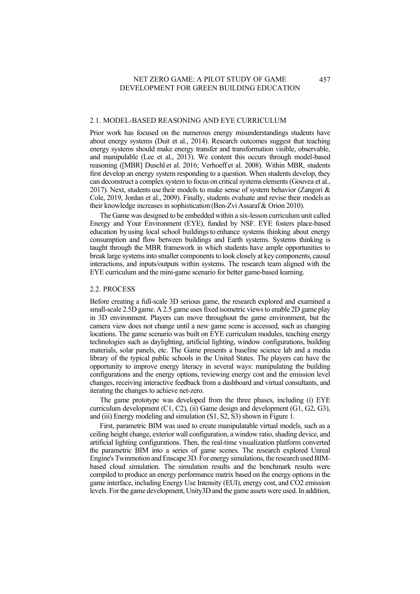#### 2.1. MODEL-BASED REASONING AND EYE CURRICULUM

Prior work has focused on the numerous energy misunderstandings students have about energy systems (Duit et al., 2014). Research outcomes suggest that teaching energy systems should make energy transfer and transformation visible, observable, and manipulable (Lee et al., 2013). We content this occurs through model-based reasoning ([MBR] Duschl et al. 2016; Verhoeff et al. 2008). Within MBR, students first develop an energy system responding to a question. When students develop, they can deconstruct a complex system to focus on critical systems elements (Gouvea et al., 2017). Next, students use their models to make sense of system behavior (Zangori & Cole, 2019, Jordan et al., 2009). Finally, students evaluate and revise their models as their knowledge increases in sophistication (Ben-Zvi Assaraf & Orion 2010).

The Game was designed to be embedded within a six-lesson curriculum unit called Energy and Your Environment (EYE), funded by NSF. EYE fosters place-based education by using local school buildings to enhance systems thinking about energy consumption and flow between buildings and Earth systems. Systems thinking is taught through the MBR framework in which students have ample opportunities to break large systems into smaller components to look closely at key components, causal interactions, and inputs/outputs within systems. The research team aligned with the EYE curriculum and the mini-game scenario for better game-based learning.

#### 2.2. PROCESS

Before creating a full-scale 3D serious game, the research explored and examined a small-scale 2.5D game. A 2.5 game uses fixed isometric views to enable 2D game play in 3D environment. Players can move throughout the game environment, but the camera view does not change until a new game scene is accessed, such as changing locations. The game scenario was built on EYE curriculum modules, teaching energy technologies such as daylighting, artificial lighting, window configurations, building materials, solar panels, etc. The Game presents a baseline science lab and a media library of the typical public schools in the United States. The players can have the opportunity to improve energy literacy in several ways: manipulating the building configurations and the energy options, reviewing energy cost and the emission level changes, receiving interactive feedback from a dashboard and virtual consultants, and iterating the changes to achieve net-zero.

The game prototype was developed from the three phases, including (i) EYE curriculum development (C1, C2), (ii) Game design and development (G1, G2, G3), and (iii) Energy modeling and simulation (S1, S2, S3) shown in Figure 1.

First, parametric BIM was used to create manipulatable virtual models, such as a ceiling height change, exterior wall configuration, a window ratio, shading device, and artificial lighting configurations. Then, the real-time visualization platform converted the parametric BIM into a series of game scenes. The research explored Unreal Engine's Twinmotion and Enscape 3D. For energy simulations, the research used BIMbased cloud simulation. The simulation results and the benchmark results were compiled to produce an energy performance matrix based on the energy options in the game interface, including Energy Use Intensity (EUI), energy cost, and CO2 emission levels. For the game development, Unity3D and the game assets were used. In addition,

457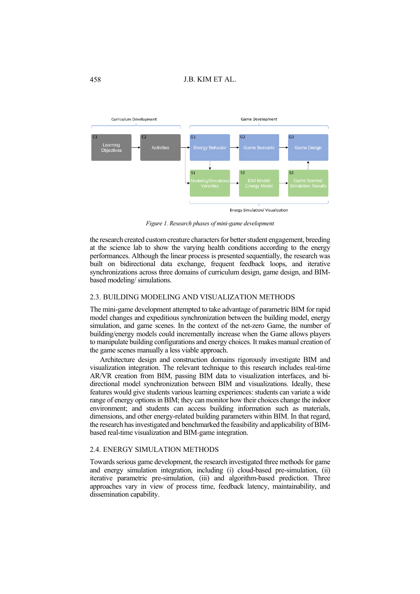

*Figure 1. Research phases of mini-game development*

the research created custom creature characters for better student engagement, breeding at the science lab to show the varying health conditions according to the energy performances. Although the linear process is presented sequentially, the research was built on bidirectional data exchange, frequent feedback loops, and iterative synchronizations across three domains of curriculum design, game design, and BIMbased modeling/ simulations.

### 2.3. BUILDING MODELING AND VISUALIZATION METHODS

The mini-game development attempted to take advantage of parametric BIM for rapid model changes and expeditious synchronization between the building model, energy simulation, and game scenes. In the context of the net-zero Game, the number of building/energy models could incrementally increase when the Game allows players to manipulate building configurations and energy choices. It makes manual creation of the game scenes manually a less viable approach.

Architecture design and construction domains rigorously investigate BIM and visualization integration. The relevant technique to this research includes real-time AR/VR creation from BIM, passing BIM data to visualization interfaces, and bidirectional model synchronization between BIM and visualizations. Ideally, these features would give students various learning experiences: students can variate a wide range of energy options in BIM; they can monitor how their choices change the indoor environment; and students can access building information such as materials, dimensions, and other energy-related building parameters within BIM. In that regard, the research has investigated and benchmarked the feasibility and applicability of BIMbased real-time visualization and BIM-game integration.

#### 2.4. ENERGY SIMULATION METHODS

Towards serious game development, the research investigated three methods for game and energy simulation integration, including (i) cloud-based pre-simulation, (ii) iterative parametric pre-simulation, (iii) and algorithm-based prediction. Three approaches vary in view of process time, feedback latency, maintainability, and dissemination capability.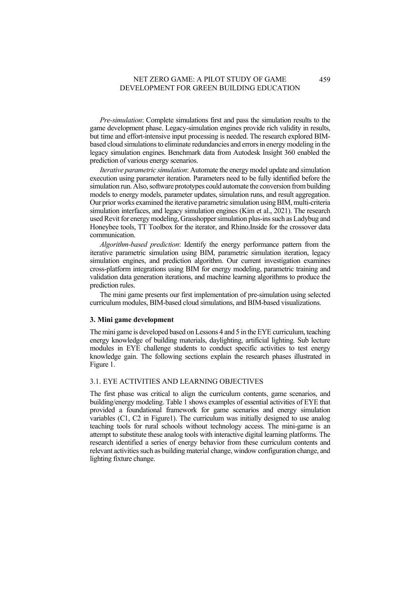*Pre-simulation*: Complete simulations first and pass the simulation results to the game development phase. Legacy-simulation engines provide rich validity in results, but time and effort-intensive input processing is needed. The research explored BIMbased cloud simulations to eliminate redundancies and errors in energy modeling in the legacy simulation engines. Benchmark data from Autodesk Insight 360 enabled the prediction of various energy scenarios.

*Iterative parametric simulation*: Automate the energy model update and simulation execution using parameter iteration. Parameters need to be fully identified before the simulation run. Also, software prototypes could automate the conversion from building models to energy models, parameter updates, simulation runs, and result aggregation. Our prior works examined the iterative parametric simulation using BIM, multi-criteria simulation interfaces, and legacy simulation engines (Kim et al., 2021). The research used Revit for energy modeling, Grasshopper simulation plus-ins such as Ladybug and Honeybee tools, TT Toolbox for the iterator, and Rhino.Inside for the crossover data communication.

*Algorithm-based prediction*: Identify the energy performance pattern from the iterative parametric simulation using BIM, parametric simulation iteration, legacy simulation engines, and prediction algorithm. Our current investigation examines cross-platform integrations using BIM for energy modeling, parametric training and validation data generation iterations, and machine learning algorithms to produce the prediction rules.

The mini game presents our first implementation of pre-simulation using selected curriculum modules, BIM-based cloud simulations, and BIM-based visualizations.

#### **3. Mini game development**

The mini game is developed based on Lessons 4 and 5 in the EYE curriculum, teaching energy knowledge of building materials, daylighting, artificial lighting. Sub lecture modules in EYE challenge students to conduct specific activities to test energy knowledge gain. The following sections explain the research phases illustrated in Figure 1.

### 3.1. EYE ACTIVITIES AND LEARNING OBJECTIVES

The first phase was critical to align the curriculum contents, game scenarios, and building/energy modeling. Table 1 shows examples of essential activities of EYE that provided a foundational framework for game scenarios and energy simulation variables (C1, C2 in Figure1). The curriculum was initially designed to use analog teaching tools for rural schools without technology access. The mini-game is an attempt to substitute these analog tools with interactive digital learning platforms. The research identified a series of energy behavior from these curriculum contents and relevant activities such as building material change, window configuration change, and lighting fixture change.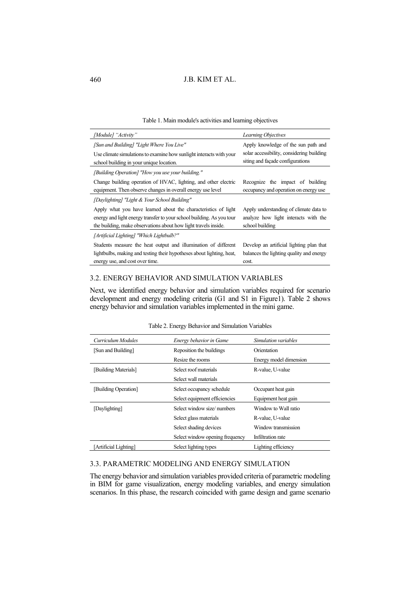### Table 1. Main module's activities and learning objectives

| [Module] "Activity"                                                                                                                                                                                        | <b>Learning Objectives</b>                                                                        |
|------------------------------------------------------------------------------------------------------------------------------------------------------------------------------------------------------------|---------------------------------------------------------------------------------------------------|
| [Sun and Building] "Light Where You Live"                                                                                                                                                                  | Apply knowledge of the sun path and                                                               |
| Use climate simulations to examine how sunlight interacts with your<br>school building in your unique location.                                                                                            | solar accessibility, considering building<br>siting and façade configurations                     |
| [Building Operation] "How you use your building."                                                                                                                                                          |                                                                                                   |
| Change building operation of HVAC, lighting, and other electric<br>equipment. Then observe changes in overall energy use level                                                                             | Recognize the impact of building<br>occupancy and operation on energy use                         |
| [Daylighting] "Light & Your School Building"                                                                                                                                                               |                                                                                                   |
| Apply what you have learned about the characteristics of light<br>energy and light energy transfer to your school building. As you tour<br>the building, make observations about how light travels inside. | Apply understanding of climate data to<br>analyze how light interacts with the<br>school building |
| [Artificial Lighting] "Which Lightbulb?"                                                                                                                                                                   |                                                                                                   |
| Students measure the heat output and illumination of different                                                                                                                                             | Develop an artificial lighting plan that                                                          |
| lightbulbs, making and testing their hypotheses about lighting, heat,                                                                                                                                      | balances the lighting quality and energy                                                          |
| energy use, and cost over time.                                                                                                                                                                            | cost.                                                                                             |

# 3.2. ENERGY BEHAVIOR AND SIMULATION VARIABLES

Next, we identified energy behavior and simulation variables required for scenario development and energy modeling criteria (G1 and S1 in Figure1). Table 2 shows energy behavior and simulation variables implemented in the mini game.

| Curriculum Modules    | Energy behavior in Game         | Simulation variables   |  |
|-----------------------|---------------------------------|------------------------|--|
| [Sun and Building]    | Reposition the buildings        | Orientation            |  |
|                       | Resize the rooms                | Energy model dimension |  |
| [Building Materials]  | Select roof materials           | R-value, U-value       |  |
|                       | Select wall materials           |                        |  |
| [Building Operation]  | Select occupancy schedule       | Occupant heat gain     |  |
|                       | Select equipment efficiencies   | Equipment heat gain    |  |
| [Daylighting]         | Select window size/numbers      | Window to Wall ratio   |  |
|                       | Select glass materials          | R-value, U-value       |  |
|                       | Select shading devices          | Window transmission    |  |
|                       | Select window opening frequency | Infiltration rate      |  |
| [Artificial Lighting] | Select lighting types           | Lighting efficiency    |  |

Table 2. Energy Behavior and Simulation Variables

## 3.3. PARAMETRIC MODELING AND ENERGY SIMULATION

The energy behavior and simulation variables provided criteria of parametric modeling in BIM for game visualization, energy modeling variables, and energy simulation scenarios. In this phase, the research coincided with game design and game scenario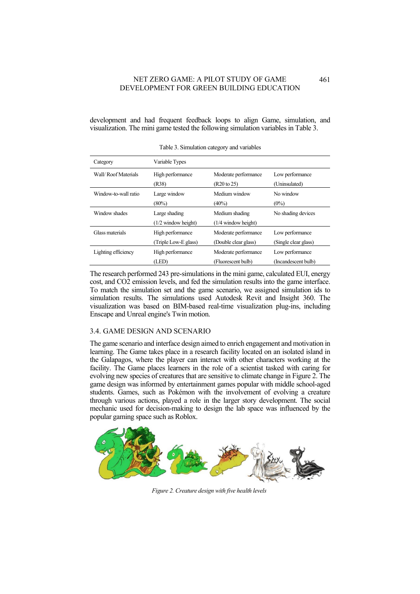development and had frequent feedback loops to align Game, simulation, and visualization. The mini game tested the following simulation variables in Table 3.

| Category             | Variable Types        |                      |                      |
|----------------------|-----------------------|----------------------|----------------------|
| Wall/Roof Materials  | High performance      | Moderate performance | Low performance      |
|                      | (R38)                 | (R20 to 25)          | (Uninsulated)        |
| Window-to-wall ratio | Large window          | Medium window        | No window            |
|                      | $(80\%)$              | $(40\%)$             | $(0\%)$              |
| Window shades        | Large shading         | Medium shading       | No shading devices   |
|                      | $(1/2$ window height) | (1/4 window height)  |                      |
| Glass materials      | High performance      | Moderate performance | Low performance      |
|                      | (Triple Low-E glass)  | (Double clear glass) | (Single clear glass) |
| Lighting efficiency  | High performance      | Moderate performance | Low performance      |
|                      | (LED)                 | (Fluorescent bulb)   | (Incandescent bulb)  |

Table 3. Simulation category and variables

The research performed 243 pre-simulations in the mini game, calculated EUI, energy cost, and CO2 emission levels, and fed the simulation results into the game interface. To match the simulation set and the game scenario, we assigned simulation ids to simulation results. The simulations used Autodesk Revit and Insight 360. The visualization was based on BIM-based real-time visualization plug-ins, including Enscape and Unreal engine's Twin motion.

## 3.4. GAME DESIGN AND SCENARIO

The game scenario and interface design aimed to enrich engagement and motivation in learning. The Game takes place in a research facility located on an isolated island in the Galapagos, where the player can interact with other characters working at the facility. The Game places learners in the role of a scientist tasked with caring for evolving new species of creatures that are sensitive to climate change in Figure 2. The game design was informed by entertainment games popular with middle school-aged students. Games, such as Pokémon with the involvement of evolving a creature through various actions, played a role in the larger story development. The social mechanic used for decision-making to design the lab space was influenced by the popular gaming space such as Roblox.



*Figure 2. Creature design with five health levels*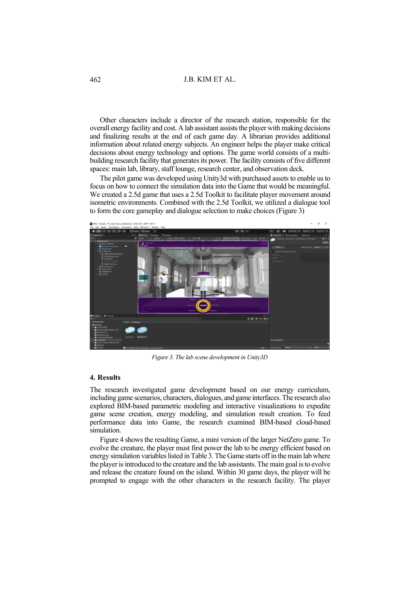Other characters include a director of the research station, responsible for the overall energy facility and cost. A lab assistant assists the player with making decisions and finalizing results at the end of each game day. A librarian provides additional information about related energy subjects. An engineer helps the player make critical decisions about energy technology and options. The game world consists of a multibuilding research facility that generates its power. The facility consists of five different spaces: main lab, library, staff lounge, research center, and observation deck.

The pilot game was developed using Unity3d with purchased assets to enable us to focus on how to connect the simulation data into the Game that would be meaningful. We created a 2.5d game that uses a 2.5d Toolkit to facilitate player movement around isometric environments. Combined with the 2.5d Toolkit, we utilized a dialogue tool to form the core gameplay and dialogue selection to make choices (Figure 3)



*Figure 3. The lab scene development in Unity3D*

#### **4. Results**

The research investigated game development based on our energy curriculum, including game scenarios, characters, dialogues, and game interfaces. The research also explored BIM-based parametric modeling and interactive visualizations to expedite game scene creation, energy modeling, and simulation result creation. To feed performance data into Game, the research examined BIM-based cloud-based simulation.

Figure 4 shows the resulting Game, a mini version of the larger NetZero game. To evolve the creature, the player must first power the lab to be energy efficient based on energy simulation variables listed in Table 3.The Game starts off in the main lab where the player is introduced to the creature and the lab assistants. The main goal is to evolve and release the creature found on the island. Within 30 game days, the player will be prompted to engage with the other characters in the research facility. The player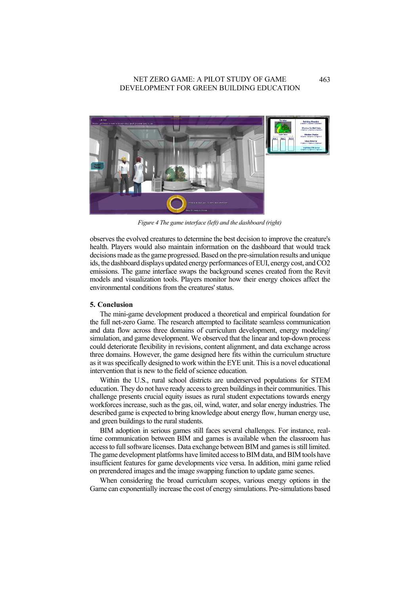

*Figure 4 The game interface (left) and the dashboard (right)*

observes the evolved creatures to determine the best decision to improve the creature's health. Players would also maintain information on the dashboard that would track decisions made as the game progressed.Based on the pre-simulation results and unique ids, the dashboard displays updated energy performances of EUI, energy cost, and CO2 emissions. The game interface swaps the background scenes created from the Revit models and visualization tools. Players monitor how their energy choices affect the environmental conditions from the creatures' status.

#### **5. Conclusion**

The mini-game development produced a theoretical and empirical foundation for the full net-zero Game. The research attempted to facilitate seamless communication and data flow across three domains of curriculum development, energy modeling/ simulation, and game development. We observed that the linear and top-down process could deteriorate flexibility in revisions, content alignment, and data exchange across three domains. However, the game designed here fits within the curriculum structure as it was specifically designed to work within the EYE unit. This is a novel educational intervention that is new to the field of science education.

Within the U.S., rural school districts are underserved populations for STEM education. They do not have ready access to green buildings in their communities. This challenge presents crucial equity issues as rural student expectations towards energy workforces increase, such as the gas, oil, wind, water, and solar energy industries. The described game is expected to bring knowledge about energy flow, human energy use, and green buildings to the rural students.

BIM adoption in serious games still faces several challenges. For instance, realtime communication between BIM and games is available when the classroom has access to full software licenses. Data exchange between BIM and games is still limited. The game development platforms have limited access to BIM data, and BIM tools have insufficient features for game developments vice versa. In addition, mini game relied on prerendered images and the image swapping function to update game scenes.

When considering the broad curriculum scopes, various energy options in the Game can exponentially increase the cost of energy simulations. Pre-simulations based